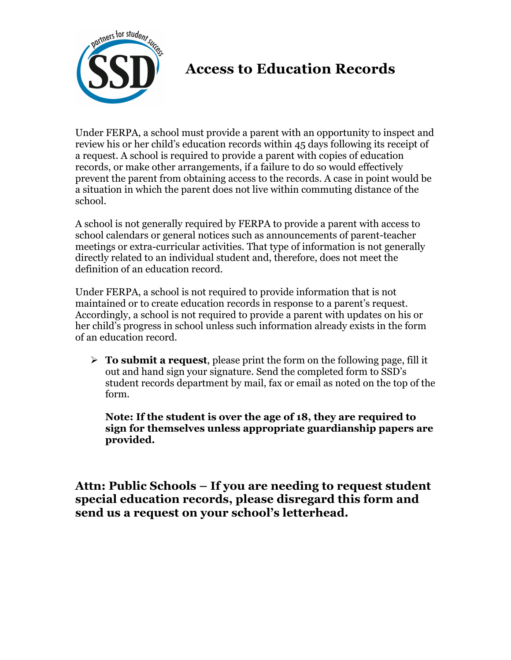

## **Access to Education Records**

Under FERPA, a school must provide a parent with an opportunity to inspect and review his or her child's education records within 45 days following its receipt of a request. A school is required to provide a parent with copies of education records, or make other arrangements, if a failure to do so would effectively prevent the parent from obtaining access to the records. A case in point would be a situation in which the parent does not live within commuting distance of the school.

A school is not generally required by FERPA to provide a parent with access to school calendars or general notices such as announcements of parent-teacher meetings or extra-curricular activities. That type of information is not generally directly related to an individual student and, therefore, does not meet the definition of an education record.

Under FERPA, a school is not required to provide information that is not maintained or to create education records in response to a parent's request. Accordingly, a school is not required to provide a parent with updates on his or her child's progress in school unless such information already exists in the form of an education record.

 $\triangleright$  **To submit a request**, please print the form on the following page, fill it out and hand sign your signature. Send the completed form to SSD's student records department by mail, fax or email as noted on the top of the form.

**Note: If the student is over the age of 18, they are required to sign for themselves unless appropriate guardianship papers are provided.** 

**Attn: Public Schools – If you are needing to request student special education records, please disregard this form and send us a request on your school's letterhead.**